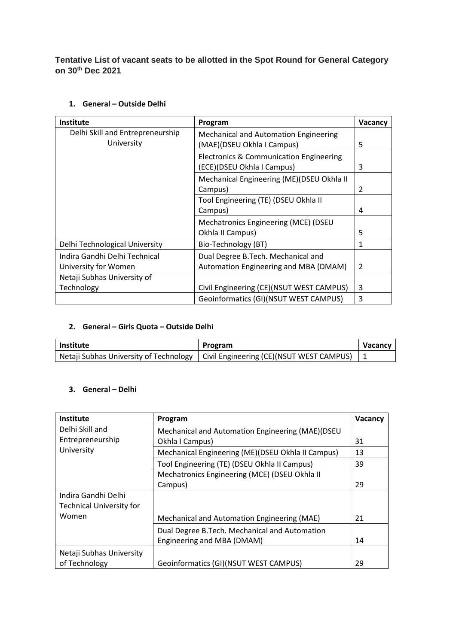**Tentative List of vacant seats to be allotted in the Spot Round for General Category on 30th Dec 2021**

| Institute                        | Program                                            | <b>Vacancy</b> |
|----------------------------------|----------------------------------------------------|----------------|
| Delhi Skill and Entrepreneurship | <b>Mechanical and Automation Engineering</b>       |                |
| University                       | (MAE)(DSEU Okhla I Campus)                         | 5              |
|                                  | <b>Electronics &amp; Communication Engineering</b> |                |
|                                  | (ECE)(DSEU Okhla I Campus)                         | 3              |
|                                  | Mechanical Engineering (ME)(DSEU Okhla II          |                |
|                                  | Campus)                                            | $\mathcal{P}$  |
|                                  | Tool Engineering (TE) (DSEU Okhla II               |                |
|                                  | Campus)                                            | 4              |
|                                  | Mechatronics Engineering (MCE) (DSEU               |                |
|                                  | Okhla II Campus)                                   | 5              |
| Delhi Technological University   | Bio-Technology (BT)                                | 1              |
| Indira Gandhi Delhi Technical    | Dual Degree B.Tech. Mechanical and                 |                |
| University for Women             | Automation Engineering and MBA (DMAM)              | 2              |
| Netaji Subhas University of      |                                                    |                |
| Technology                       | Civil Engineering (CE)(NSUT WEST CAMPUS)           | 3              |
|                                  | Geoinformatics (GI)(NSUT WEST CAMPUS)              | 3              |

## **1. General – Outside Delhi**

## **2. General – Girls Quota – Outside Delhi**

| <b>Institute</b> | Program                                                                               | <b>Vacancy</b> |
|------------------|---------------------------------------------------------------------------------------|----------------|
|                  | Netaji Subhas University of Technology   Civil Engineering (CE)(NSUT WEST CAMPUS)   1 |                |

## **3. General – Delhi**

| Institute                       | Program                                           | Vacancy |
|---------------------------------|---------------------------------------------------|---------|
| Delhi Skill and                 | Mechanical and Automation Engineering (MAE)(DSEU  |         |
| Entrepreneurship                | Okhla I Campus)                                   | 31      |
| University                      | Mechanical Engineering (ME)(DSEU Okhla II Campus) | 13      |
|                                 | Tool Engineering (TE) (DSEU Okhla II Campus)      | 39      |
|                                 | Mechatronics Engineering (MCE) (DSEU Okhla II     |         |
|                                 | Campus)                                           | 29      |
| Indira Gandhi Delhi             |                                                   |         |
| <b>Technical University for</b> |                                                   |         |
| Women                           | Mechanical and Automation Engineering (MAE)       | 21      |
|                                 | Dual Degree B. Tech. Mechanical and Automation    |         |
|                                 | Engineering and MBA (DMAM)                        | 14      |
| Netaji Subhas University        |                                                   |         |
| of Technology                   | Geoinformatics (GI)(NSUT WEST CAMPUS)             | 29      |